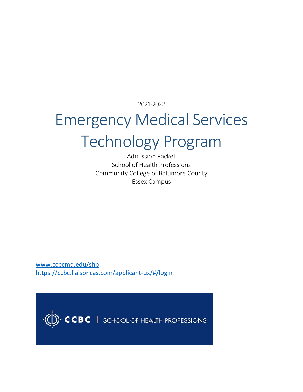2021-2022

## Emergency Medical Services Technology Program

Admission Packet School of Health Professions Community College of Baltimore County Essex Campus

[www.ccbcmd.edu/shp](http://www.ccbcmd.edu/shp) <https://ccbc.liaisoncas.com/applicant-ux/#/login>

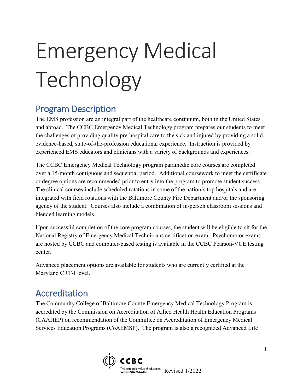# Emergency Medical Technology

## Program Description

The EMS profession are an integral part of the healthcare continuum, both in the United States and abroad. The CCBC Emergency Medical Technology program prepares our students to meet the challenges of providing quality pre-hospital care to the sick and injured by providing a solid, evidence-based, state-of-the-profession educational experience. Instruction is provided by experienced EMS educators and clinicians with a variety of backgrounds and experiences.

The CCBC Emergency Medical Technology program paramedic core courses are completed over a 15-month contiguous and sequential period. Additional coursework to meet the certificate or degree options are recommended prior to entry into the program to promote student success. The clinical courses include scheduled rotations in some of the nation's top hospitals and are integrated with field rotations with the Baltimore County Fire Department and/or the sponsoring agency of the student. Courses also include a combination of in-person classroom sessions and blended learning models.

Upon successful completion of the core program courses, the student will be eligible to sit for the National Registry of Emergency Medical Technicians certification exam. Psychomotor exams are hosted by CCBC and computer-based testing is available in the CCBC Pearson-VUE testing center.

Advanced placement options are available for students who are currently certified at the Maryland CRT-I level.

## Accreditation

The Community College of Baltimore County Emergency Medical Technology Program is accredited by the Commission on Accreditation of Allied Health Health Education Programs (CAAHEP) on recommendation of the Committee on Accreditation of Emergency Medical Services Education Programs (CoAEMSP). The program is also a recognized Advanced Life

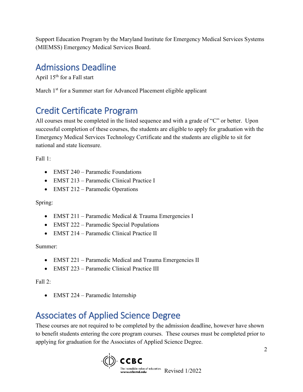Support Education Program by the Maryland Institute for Emergency Medical Services Systems (MIEMSS) Emergency Medical Services Board.

## Admissions Deadline

April 15<sup>th</sup> for a Fall start

March 1<sup>st</sup> for a Summer start for Advanced Placement eligible applicant

## Credit Certificate Program

All courses must be completed in the listed sequence and with a grade of "C" or better. Upon successful completion of these courses, the students are eligible to apply for graduation with the Emergency Medical Services Technology Certificate and the students are eligible to sit for national and state licensure.

Fall 1:

- EMST 240 Paramedic Foundations
- EMST 213 Paramedic Clinical Practice I
- EMST 212 Paramedic Operations

Spring:

- EMST 211 Paramedic Medical & Trauma Emergencies I
- EMST 222 Paramedic Special Populations
- EMST 214 Paramedic Clinical Practice II

Summer:

- EMST 221 Paramedic Medical and Trauma Emergencies II
- EMST 223 Paramedic Clinical Practice III

Fall  $2:$ 

• EMST 224 – Paramedic Internship

## Associates of Applied Science Degree

These courses are not required to be completed by the admission deadline, however have shown to benefit students entering the core program courses. These courses must be completed prior to applying for graduation for the Associates of Applied Science Degree.

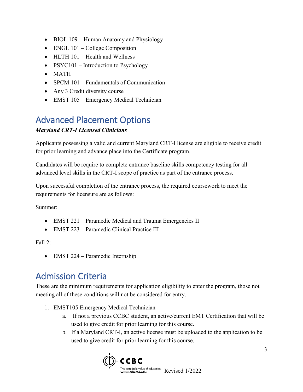- BIOL 109 Human Anatomy and Physiology
- ENGL 101 College Composition
- HLTH 101 Health and Wellness
- PSYC101 Introduction to Psychology
- MATH
- SPCM 101 Fundamentals of Communication
- Any 3 Credit diversity course
- EMST 105 Emergency Medical Technician

## Advanced Placement Options

#### *Maryland CRT-I Licensed Clinicians*

Applicants possessing a valid and current Maryland CRT-I license are eligible to receive credit for prior learning and advance place into the Certificate program.

Candidates will be require to complete entrance baseline skills competency testing for all advanced level skills in the CRT-I scope of practice as part of the entrance process.

Upon successful completion of the entrance process, the required coursework to meet the requirements for licensure are as follows:

Summer:

- EMST 221 Paramedic Medical and Trauma Emergencies II
- EMST 223 Paramedic Clinical Practice III

Fall 2:

• EMST 224 – Paramedic Internship

## Admission Criteria

These are the minimum requirements for application eligibility to enter the program, those not meeting all of these conditions will not be considered for entry.

- 1. EMST105 Emergency Medical Technician
	- a. If not a previous CCBC student, an active/current EMT Certification that will be used to give credit for prior learning for this course.
	- b. If a Maryland CRT-I, an active license must be uploaded to the application to be used to give credit for prior learning for this course.

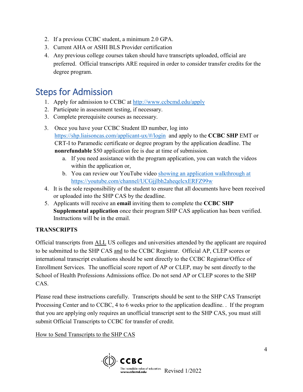- 2. If a previous CCBC student, a minimum 2.0 GPA.
- 3. Current AHA or ASHI BLS Provider certification
- 4. Any previous college courses taken should have transcripts uploaded, official are preferred. Official transcripts ARE required in order to consider transfer credits for the degree program.

### Steps for Admission

- 1. Apply for admission to CCBC at<http://www.ccbcmd.edu/apply>
- 2. Participate in assessment testing, if necessary.
- 3. Complete prerequisite courses as necessary.
- 3. Once you have your CCBC Student ID number, log into <https://shp.liaisoncas.com/applicant-ux/#/login> and apply to the **CCBC SHP** EMT or CRT-I to Paramedic certificate or degree program by the application deadline. The **nonrefundable** \$50 application fee is due at time of submission.
	- a. If you need assistance with the program application, you can watch the videos within the application or,
	- b. You can review our YouTube video [showing an application walkthrough at](https://youtube.com/channel/UCGjjlbh2aheqelcxERFZ99w) <https://youtube.com/channel/UCGjjlbh2aheqelcxERFZ99w>
- 4. It is the sole responsibility of the student to ensure that all documents have been received or uploaded into the SHP CAS by the deadline.
- 5. Applicants will receive an **email** inviting them to complete the **CCBC SHP Supplemental application** once their program SHP CAS application has been verified. Instructions will be in the email.

#### **TRANSCRIPTS**

Official transcripts from ALL US colleges and universities attended by the applicant are required to be submitted to the SHP CAS and to the CCBC Registrar. Official AP, CLEP scores or international transcript evaluations should be sent directly to the CCBC Registrar/Office of Enrollment Services. The unofficial score report of AP or CLEP, may be sent directly to the School of Health Professions Admissions office. Do not send AP or CLEP scores to the SHP CAS.

Please read these instructions carefully. Transcripts should be sent to the SHP CAS Transcript Processing Center and to CCBC, 4 to 6 weeks prior to the application deadline. . If the program that you are applying only requires an unofficial transcript sent to the SHP CAS, you must still submit Official Transcripts to CCBC for transfer of credit.

How to Send Transcripts to the SHP CAS

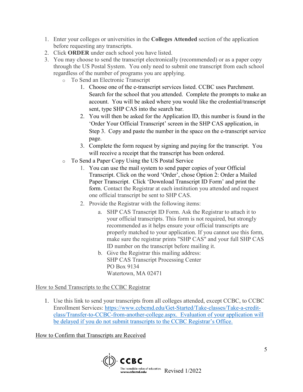- 1. Enter your colleges or universities in the **Colleges Attended** section of the application before requesting any transcripts.
- 2. Click **ORDER** under each school you have listed.
- 3. You may choose to send the transcript electronically (recommended) or as a paper copy through the US Postal System. You only need to submit one transcript from each school regardless of the number of programs you are applying.
	- o To Send an Electronic Transcript
		- 1. Choose one of the e-transcript services listed. CCBC uses Parchment. Search for the school that you attended. Complete the prompts to make an account. You will be asked where you would like the credential/transcript sent, type SHP CAS into the search bar.
		- 2. You will then be asked for the Application ID, this number is found in the 'Order Your Official Transcript' screen in the SHP CAS application, in Step 3. Copy and paste the number in the space on the e-transcript service page.
		- 3. Complete the form request by signing and paying for the transcript. You will receive a receipt that the transcript has been ordered.
	- o To Send a Paper Copy Using the US Postal Service
		- 1. You can use the mail system to send paper copies of your Official Transcript. Click on the word 'Order', chose Option 2: Order a Mailed Paper Transcript. Click 'Download Transcript ID Form' and print the form. Contact the Registrar at each institution you attended and request one official transcript be sent to SHP CAS.
		- 2. Provide the Registrar with the following items:
			- a. SHP CAS Transcript ID Form. Ask the Registrar to attach it to your official transcripts. This form is not required, but strongly recommended as it helps ensure your official transcripts are properly matched to your application. If you cannot use this form, make sure the registrar prints "SHP CAS" and your full SHP CAS ID number on the transcript before mailing it.
			- b. Give the Registrar this mailing address: SHP CAS Transcript Processing Center PO Box 9134 Watertown, MA 02471

How to Send Transcripts to the CCBC Registrar

1. Use this link to send your transcripts from all colleges attended, except CCBC, to CCBC Enrollment Services: [https://www.ccbcmd.edu/Get-Started/Take-classes/Take-a-credit](https://www.ccbcmd.edu/Get-Started/Take-classes/Take-a-credit-class/Transfer-to-CCBC-from-another-college.aspx)[class/Transfer-to-CCBC-from-another-college.aspx.](https://www.ccbcmd.edu/Get-Started/Take-classes/Take-a-credit-class/Transfer-to-CCBC-from-another-college.aspx) Evaluation of your application will be delayed if you do not submit transcripts to the CCBC Registrar's Office.

How to Confirm that Transcripts are Received

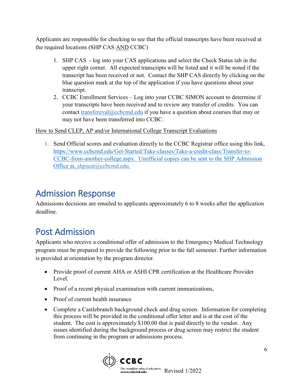Applicants are responsible for checking to see that the official transcripts have been received at the required locations (SHP CAS AND CCBC)

- 1. SHP CAS log into your CAS applications and select the Check Status tab in the upper right corner. All expected transcripts will be listed and it will be noted if the transcript has been received or not. Contact the SHP CAS directly by clicking on the blue question mark at the top of the application if you have questions about your transcript.
- 2. CCBC Enrollment Services Log into your CCBC SIMON account to determine if your transcripts have been received and to review any transfer of credits. You can contact [transfereval@ccbcmd.edu](mailto:transfereval@ccbcmd.edu) if you have a question about courses that may or may not have been transferred into CCBC.

#### How to Send CLEP, AP and/or International College Transcript Evaluations

1. Send Official scores and evaluation directly to the CCBC Registrar office using this link, [https://www.ccbcmd.edu/Get-Started/Take-classes/Take-a-credit-class/Transfer-to-](https://www.ccbcmd.edu/Get-Started/Take-classes/Take-a-credit-class/Transfer-to-CCBC-from-another-college.aspx)[CCBC-from-another-college.aspx.](https://www.ccbcmd.edu/Get-Started/Take-classes/Take-a-credit-class/Transfer-to-CCBC-from-another-college.aspx) Unofficial copies can be sent to the SHP Admission Office at, shpseat@ccbcmd.edu.

## Admission Response

Admissions decisions are emailed to applicants approximately 6 to 8 weeks after the application deadline.

## Post Admission

Applicants who receive a conditional offer of admission to the Emergency Medical Technology program must be prepared to provide the following prior to the fall semester. Further information is provided at orientation by the program director.

- Provide proof of current AHA or ASHI CPR certification at the Healthcare Provider Level.
- Proof of a recent physical examination with current immunizations,
- Proof of current health insurance
- Complete a Castlebranch background check and drug screen. Information for completing this process will be provided in the conditional offer letter and is at the cost of the student. The cost is approximately \$100.00 that is paid directly to the vendor. Any issues identified during the background process or drug screen may restrict the student from continuing in the program or admissions process.